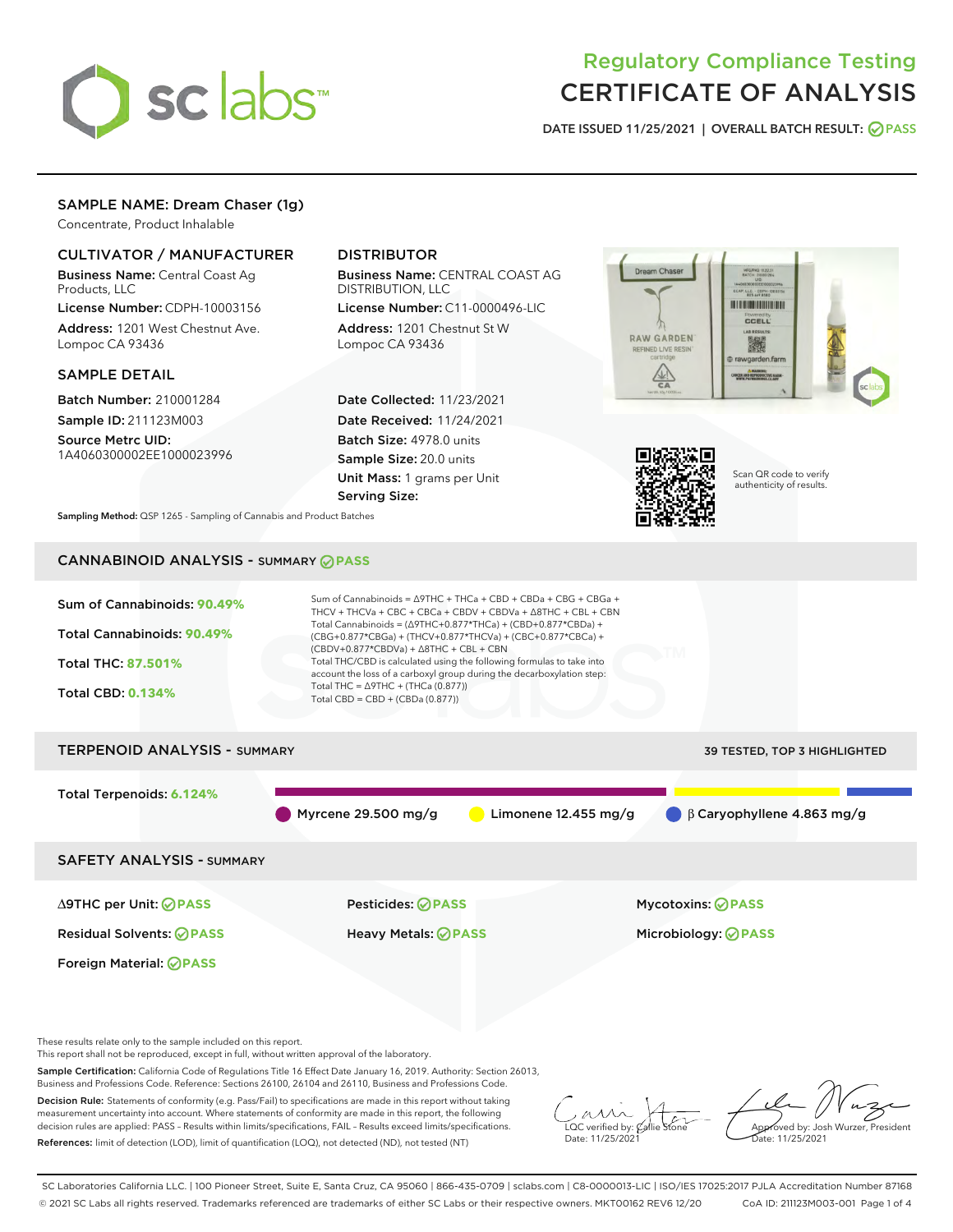

# Regulatory Compliance Testing CERTIFICATE OF ANALYSIS

DATE ISSUED 11/25/2021 | OVERALL BATCH RESULT: @ PASS

# SAMPLE NAME: Dream Chaser (1g)

Concentrate, Product Inhalable

# CULTIVATOR / MANUFACTURER

Business Name: Central Coast Ag Products, LLC

License Number: CDPH-10003156 Address: 1201 West Chestnut Ave. Lompoc CA 93436

### SAMPLE DETAIL

Batch Number: 210001284 Sample ID: 211123M003

Source Metrc UID: 1A4060300002EE1000023996

# DISTRIBUTOR

Business Name: CENTRAL COAST AG DISTRIBUTION, LLC

License Number: C11-0000496-LIC Address: 1201 Chestnut St W Lompoc CA 93436

Date Collected: 11/23/2021 Date Received: 11/24/2021 Batch Size: 4978.0 units Sample Size: 20.0 units Unit Mass: 1 grams per Unit Serving Size:





Scan QR code to verify authenticity of results.

Sampling Method: QSP 1265 - Sampling of Cannabis and Product Batches

# CANNABINOID ANALYSIS - SUMMARY **PASS**



Business and Professions Code. Reference: Sections 26100, 26104 and 26110, Business and Professions Code.

Decision Rule: Statements of conformity (e.g. Pass/Fail) to specifications are made in this report without taking measurement uncertainty into account. Where statements of conformity are made in this report, the following decision rules are applied: PASS – Results within limits/specifications, FAIL – Results exceed limits/specifications. References: limit of detection (LOD), limit of quantification (LOQ), not detected (ND), not tested (NT)

 $\overline{\text{LOC}}$  verified by:  $\mathcal{C}_i$ Date: 11/25/2021

Approved by: Josh Wurzer, President ate: 11/25/2021

SC Laboratories California LLC. | 100 Pioneer Street, Suite E, Santa Cruz, CA 95060 | 866-435-0709 | sclabs.com | C8-0000013-LIC | ISO/IES 17025:2017 PJLA Accreditation Number 87168 © 2021 SC Labs all rights reserved. Trademarks referenced are trademarks of either SC Labs or their respective owners. MKT00162 REV6 12/20 CoA ID: 211123M003-001 Page 1 of 4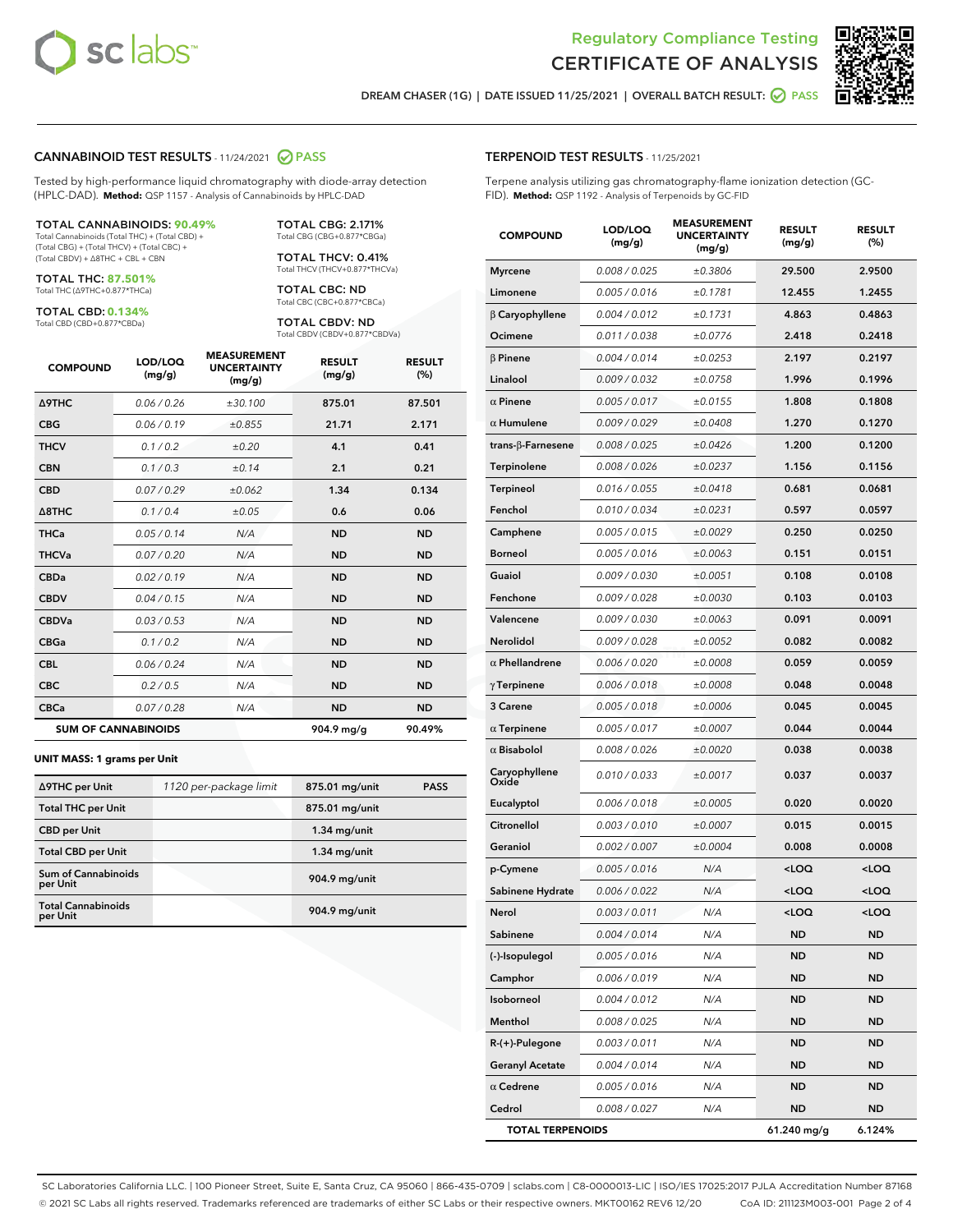



DREAM CHASER (1G) | DATE ISSUED 11/25/2021 | OVERALL BATCH RESULT: **○** PASS

#### CANNABINOID TEST RESULTS - 11/24/2021 2 PASS

Tested by high-performance liquid chromatography with diode-array detection (HPLC-DAD). **Method:** QSP 1157 - Analysis of Cannabinoids by HPLC-DAD

#### TOTAL CANNABINOIDS: **90.49%**

Total Cannabinoids (Total THC) + (Total CBD) + (Total CBG) + (Total THCV) + (Total CBC) + (Total CBDV) + ∆8THC + CBL + CBN

TOTAL THC: **87.501%** Total THC (∆9THC+0.877\*THCa)

TOTAL CBD: **0.134%** Total CBD (CBD+0.877\*CBDa)

TOTAL CBG: 2.171% Total CBG (CBG+0.877\*CBGa)

TOTAL THCV: 0.41% Total THCV (THCV+0.877\*THCVa)

TOTAL CBC: ND Total CBC (CBC+0.877\*CBCa)

TOTAL CBDV: ND Total CBDV (CBDV+0.877\*CBDVa)

| <b>COMPOUND</b>            | LOD/LOQ<br>(mg/g) | <b>MEASUREMENT</b><br><b>UNCERTAINTY</b><br>(mg/g) | <b>RESULT</b><br>(mg/g) | <b>RESULT</b><br>(%) |
|----------------------------|-------------------|----------------------------------------------------|-------------------------|----------------------|
| <b>A9THC</b>               | 0.06 / 0.26       | ±30.100                                            | 875.01                  | 87.501               |
| <b>CBG</b>                 | 0.06 / 0.19       | ±0.855                                             | 21.71                   | 2.171                |
| <b>THCV</b>                | 0.1 / 0.2         | ±0.20                                              | 4.1                     | 0.41                 |
| <b>CBN</b>                 | 0.1/0.3           | ±0.14                                              | 2.1                     | 0.21                 |
| <b>CBD</b>                 | 0.07/0.29         | ±0.062                                             | 1.34                    | 0.134                |
| $\triangle$ 8THC           | 0.1 / 0.4         | ±0.05                                              | 0.6                     | 0.06                 |
| <b>THCa</b>                | 0.05/0.14         | N/A                                                | <b>ND</b>               | <b>ND</b>            |
| <b>THCVa</b>               | 0.07/0.20         | N/A                                                | <b>ND</b>               | <b>ND</b>            |
| <b>CBDa</b>                | 0.02/0.19         | N/A                                                | <b>ND</b>               | <b>ND</b>            |
| <b>CBDV</b>                | 0.04 / 0.15       | N/A                                                | <b>ND</b>               | <b>ND</b>            |
| <b>CBDVa</b>               | 0.03 / 0.53       | N/A                                                | <b>ND</b>               | <b>ND</b>            |
| <b>CBGa</b>                | 0.1 / 0.2         | N/A                                                | <b>ND</b>               | <b>ND</b>            |
| <b>CBL</b>                 | 0.06 / 0.24       | N/A                                                | <b>ND</b>               | <b>ND</b>            |
| <b>CBC</b>                 | 0.2 / 0.5         | N/A                                                | <b>ND</b>               | <b>ND</b>            |
| <b>CBCa</b>                | 0.07/0.28         | N/A                                                | <b>ND</b>               | <b>ND</b>            |
| <b>SUM OF CANNABINOIDS</b> |                   |                                                    | 904.9 mg/g              | 90.49%               |

#### **UNIT MASS: 1 grams per Unit**

| ∆9THC per Unit                         | 1120 per-package limit | 875.01 mg/unit | <b>PASS</b> |
|----------------------------------------|------------------------|----------------|-------------|
| <b>Total THC per Unit</b>              |                        | 875.01 mg/unit |             |
| <b>CBD per Unit</b>                    |                        | $1.34$ mg/unit |             |
| <b>Total CBD per Unit</b>              |                        | $1.34$ mg/unit |             |
| <b>Sum of Cannabinoids</b><br>per Unit |                        | 904.9 mg/unit  |             |
| <b>Total Cannabinoids</b><br>per Unit  |                        | 904.9 mg/unit  |             |

| <b>COMPOUND</b>         | LOD/LOQ<br>(mg/g) | <b>MEASUREMENT</b><br><b>UNCERTAINTY</b><br>(mg/g) | <b>RESULT</b><br>(mg/g)                         | <b>RESULT</b><br>(%) |
|-------------------------|-------------------|----------------------------------------------------|-------------------------------------------------|----------------------|
| <b>Myrcene</b>          | 0.008 / 0.025     | ±0.3806                                            | 29.500                                          | 2.9500               |
| Limonene                | 0.005 / 0.016     | ±0.1781                                            | 12.455                                          | 1.2455               |
| $\beta$ Caryophyllene   | 0.004 / 0.012     | ±0.1731                                            | 4.863                                           | 0.4863               |
| Ocimene                 | 0.011 / 0.038     | ±0.0776                                            | 2.418                                           | 0.2418               |
| $\beta$ Pinene          | 0.004 / 0.014     | ±0.0253                                            | 2.197                                           | 0.2197               |
| Linalool                | 0.009 / 0.032     | ±0.0758                                            | 1.996                                           | 0.1996               |
| $\alpha$ Pinene         | 0.005 / 0.017     | ±0.0155                                            | 1.808                                           | 0.1808               |
| $\alpha$ Humulene       | 0.009/0.029       | ±0.0408                                            | 1.270                                           | 0.1270               |
| trans-β-Farnesene       | 0.008 / 0.025     | ±0.0426                                            | 1.200                                           | 0.1200               |
| Terpinolene             | 0.008 / 0.026     | ±0.0237                                            | 1.156                                           | 0.1156               |
| Terpineol               | 0.016 / 0.055     | ±0.0418                                            | 0.681                                           | 0.0681               |
| Fenchol                 | 0.010 / 0.034     | ±0.0231                                            | 0.597                                           | 0.0597               |
| Camphene                | 0.005 / 0.015     | ±0.0029                                            | 0.250                                           | 0.0250               |
| <b>Borneol</b>          | 0.005 / 0.016     | ±0.0063                                            | 0.151                                           | 0.0151               |
| Guaiol                  | 0.009 / 0.030     | ±0.0051                                            | 0.108                                           | 0.0108               |
| Fenchone                | 0.009 / 0.028     | ±0.0030                                            | 0.103                                           | 0.0103               |
| Valencene               | 0.009 / 0.030     | ±0.0063                                            | 0.091                                           | 0.0091               |
| Nerolidol               | 0.009 / 0.028     | ±0.0052                                            | 0.082                                           | 0.0082               |
| $\alpha$ Phellandrene   | 0.006 / 0.020     | ±0.0008                                            | 0.059                                           | 0.0059               |
| $\gamma$ Terpinene      | 0.006 / 0.018     | ±0.0008                                            | 0.048                                           | 0.0048               |
| 3 Carene                | 0.005 / 0.018     | ±0.0006                                            | 0.045                                           | 0.0045               |
| $\alpha$ Terpinene      | 0.005 / 0.017     | ±0.0007                                            | 0.044                                           | 0.0044               |
| $\alpha$ Bisabolol      | 0.008 / 0.026     | ±0.0020                                            | 0.038                                           | 0.0038               |
| Caryophyllene<br>Oxide  | 0.010 / 0.033     | ±0.0017                                            | 0.037                                           | 0.0037               |
| Eucalyptol              | 0.006 / 0.018     | ±0.0005                                            | 0.020                                           | 0.0020               |
| Citronellol             | 0.003 / 0.010     | ±0.0007                                            | 0.015                                           | 0.0015               |
| Geraniol                | 0.002 / 0.007     | ±0.0004                                            | 0.008                                           | 0.0008               |
| p-Cymene                | 0.005 / 0.016     | N/A                                                | <loq< th=""><th><loq< th=""></loq<></th></loq<> | <loq< th=""></loq<>  |
| Sabinene Hydrate        | 0.006 / 0.022     | N/A                                                | <loq< th=""><th><loq< th=""></loq<></th></loq<> | <loq< th=""></loq<>  |
| Nerol                   | 0.003 / 0.011     | N/A                                                | <loq< th=""><th><loq< th=""></loq<></th></loq<> | <loq< th=""></loq<>  |
| Sabinene                | 0.004 / 0.014     | N/A                                                | ND                                              | ND                   |
| (-)-Isopulegol          | 0.005 / 0.016     | N/A                                                | ND                                              | ND                   |
| Camphor                 | 0.006 / 0.019     | N/A                                                | ND                                              | ND                   |
| Isoborneol              | 0.004 / 0.012     | N/A                                                | ND                                              | ND                   |
| Menthol                 | 0.008 / 0.025     | N/A                                                | ND                                              | ND                   |
| R-(+)-Pulegone          | 0.003 / 0.011     | N/A                                                | ND                                              | ND                   |
| <b>Geranyl Acetate</b>  | 0.004 / 0.014     | N/A                                                | ND                                              | ND                   |
| $\alpha$ Cedrene        | 0.005 / 0.016     | N/A                                                | ND                                              | <b>ND</b>            |
| Cedrol                  | 0.008 / 0.027     | N/A                                                | ND                                              | ND                   |
| <b>TOTAL TERPENOIDS</b> |                   |                                                    | 61.240 mg/g                                     | 6.124%               |

SC Laboratories California LLC. | 100 Pioneer Street, Suite E, Santa Cruz, CA 95060 | 866-435-0709 | sclabs.com | C8-0000013-LIC | ISO/IES 17025:2017 PJLA Accreditation Number 87168 © 2021 SC Labs all rights reserved. Trademarks referenced are trademarks of either SC Labs or their respective owners. MKT00162 REV6 12/20 CoA ID: 211123M003-001 Page 2 of 4

# TERPENOID TEST RESULTS - 11/25/2021

Terpene analysis utilizing gas chromatography-flame ionization detection (GC-FID). **Method:** QSP 1192 - Analysis of Terpenoids by GC-FID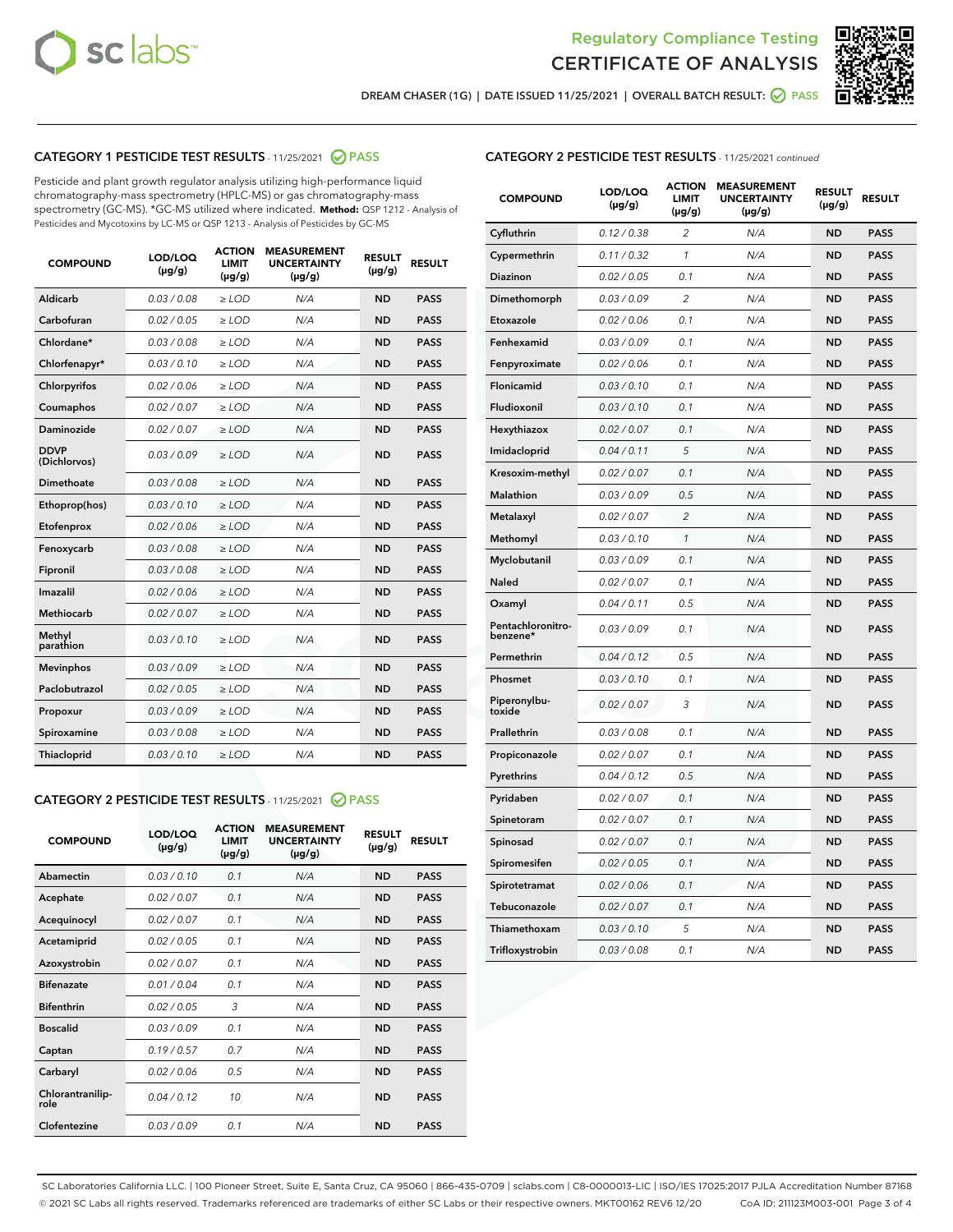



DREAM CHASER (1G) | DATE ISSUED 11/25/2021 | OVERALL BATCH RESULT: ● PASS

# CATEGORY 1 PESTICIDE TEST RESULTS - 11/25/2021 2 PASS

Pesticide and plant growth regulator analysis utilizing high-performance liquid chromatography-mass spectrometry (HPLC-MS) or gas chromatography-mass spectrometry (GC-MS). \*GC-MS utilized where indicated. **Method:** QSP 1212 - Analysis of Pesticides and Mycotoxins by LC-MS or QSP 1213 - Analysis of Pesticides by GC-MS

| Aldicarb<br>0.03 / 0.08<br>$\ge$ LOD<br>N/A<br><b>ND</b><br><b>PASS</b><br>Carbofuran<br>0.02 / 0.05<br><b>ND</b><br><b>PASS</b><br>$\ge$ LOD<br>N/A<br>Chlordane*<br>0.03 / 0.08<br>$\ge$ LOD<br>N/A<br><b>ND</b><br><b>PASS</b><br>Chlorfenapyr*<br>0.03/0.10<br>N/A<br><b>ND</b><br><b>PASS</b><br>$\ge$ LOD<br>N/A<br><b>ND</b><br><b>PASS</b><br>Chlorpyrifos<br>0.02 / 0.06<br>$\ge$ LOD<br>0.02 / 0.07<br>Coumaphos<br>$>$ LOD<br>N/A<br><b>ND</b><br><b>PASS</b><br>Daminozide<br>0.02/0.07<br>N/A<br><b>ND</b><br>$>$ LOD<br><b>PASS</b><br><b>DDVP</b><br>0.03/0.09<br>$\ge$ LOD<br>N/A<br><b>ND</b><br><b>PASS</b><br>(Dichlorvos)<br>Dimethoate<br>0.03 / 0.08<br>$\ge$ LOD<br>N/A<br><b>ND</b><br><b>PASS</b><br>0.03/0.10<br><b>ND</b><br><b>PASS</b><br>$\ge$ LOD<br>N/A<br>Ethoprop(hos)<br>0.02 / 0.06<br>$\ge$ LOD<br>N/A<br><b>ND</b><br><b>PASS</b><br>Etofenprox<br>0.03 / 0.08<br>$\ge$ LOD<br>N/A<br><b>ND</b><br><b>PASS</b><br>Fenoxycarb<br>0.03 / 0.08<br>Fipronil<br>$\ge$ LOD<br>N/A<br><b>ND</b><br><b>PASS</b><br>Imazalil<br>0.02 / 0.06<br>$\ge$ LOD<br>N/A<br><b>ND</b><br><b>PASS</b><br>Methiocarb<br>0.02 / 0.07<br>N/A<br><b>ND</b><br>$>$ LOD<br><b>PASS</b><br>Methyl<br>N/A<br><b>ND</b><br>0.03/0.10<br>$\ge$ LOD<br><b>PASS</b><br>parathion<br>0.03/0.09<br>N/A<br><b>ND</b><br><b>PASS</b><br><b>Mevinphos</b><br>$\ge$ LOD<br>Paclobutrazol<br>0.02 / 0.05<br><b>ND</b><br><b>PASS</b><br>$\ge$ LOD<br>N/A<br>0.03/0.09<br>$\ge$ LOD<br>N/A<br><b>ND</b><br><b>PASS</b><br>Propoxur<br>0.03 / 0.08<br>$\ge$ LOD<br>N/A<br><b>ND</b><br><b>PASS</b><br>Spiroxamine<br>0.03/0.10<br>Thiacloprid<br>$\ge$ LOD<br>N/A<br><b>ND</b><br><b>PASS</b> | <b>COMPOUND</b> | LOD/LOQ<br>$(\mu g/g)$ | <b>ACTION</b><br><b>LIMIT</b><br>$(\mu g/g)$ | <b>MEASUREMENT</b><br><b>UNCERTAINTY</b><br>$(\mu g/g)$ | <b>RESULT</b><br>$(\mu g/g)$ | <b>RESULT</b> |
|---------------------------------------------------------------------------------------------------------------------------------------------------------------------------------------------------------------------------------------------------------------------------------------------------------------------------------------------------------------------------------------------------------------------------------------------------------------------------------------------------------------------------------------------------------------------------------------------------------------------------------------------------------------------------------------------------------------------------------------------------------------------------------------------------------------------------------------------------------------------------------------------------------------------------------------------------------------------------------------------------------------------------------------------------------------------------------------------------------------------------------------------------------------------------------------------------------------------------------------------------------------------------------------------------------------------------------------------------------------------------------------------------------------------------------------------------------------------------------------------------------------------------------------------------------------------------------------------------------------------------------------------------------------------------------------------|-----------------|------------------------|----------------------------------------------|---------------------------------------------------------|------------------------------|---------------|
|                                                                                                                                                                                                                                                                                                                                                                                                                                                                                                                                                                                                                                                                                                                                                                                                                                                                                                                                                                                                                                                                                                                                                                                                                                                                                                                                                                                                                                                                                                                                                                                                                                                                                             |                 |                        |                                              |                                                         |                              |               |
|                                                                                                                                                                                                                                                                                                                                                                                                                                                                                                                                                                                                                                                                                                                                                                                                                                                                                                                                                                                                                                                                                                                                                                                                                                                                                                                                                                                                                                                                                                                                                                                                                                                                                             |                 |                        |                                              |                                                         |                              |               |
|                                                                                                                                                                                                                                                                                                                                                                                                                                                                                                                                                                                                                                                                                                                                                                                                                                                                                                                                                                                                                                                                                                                                                                                                                                                                                                                                                                                                                                                                                                                                                                                                                                                                                             |                 |                        |                                              |                                                         |                              |               |
|                                                                                                                                                                                                                                                                                                                                                                                                                                                                                                                                                                                                                                                                                                                                                                                                                                                                                                                                                                                                                                                                                                                                                                                                                                                                                                                                                                                                                                                                                                                                                                                                                                                                                             |                 |                        |                                              |                                                         |                              |               |
|                                                                                                                                                                                                                                                                                                                                                                                                                                                                                                                                                                                                                                                                                                                                                                                                                                                                                                                                                                                                                                                                                                                                                                                                                                                                                                                                                                                                                                                                                                                                                                                                                                                                                             |                 |                        |                                              |                                                         |                              |               |
|                                                                                                                                                                                                                                                                                                                                                                                                                                                                                                                                                                                                                                                                                                                                                                                                                                                                                                                                                                                                                                                                                                                                                                                                                                                                                                                                                                                                                                                                                                                                                                                                                                                                                             |                 |                        |                                              |                                                         |                              |               |
|                                                                                                                                                                                                                                                                                                                                                                                                                                                                                                                                                                                                                                                                                                                                                                                                                                                                                                                                                                                                                                                                                                                                                                                                                                                                                                                                                                                                                                                                                                                                                                                                                                                                                             |                 |                        |                                              |                                                         |                              |               |
|                                                                                                                                                                                                                                                                                                                                                                                                                                                                                                                                                                                                                                                                                                                                                                                                                                                                                                                                                                                                                                                                                                                                                                                                                                                                                                                                                                                                                                                                                                                                                                                                                                                                                             |                 |                        |                                              |                                                         |                              |               |
|                                                                                                                                                                                                                                                                                                                                                                                                                                                                                                                                                                                                                                                                                                                                                                                                                                                                                                                                                                                                                                                                                                                                                                                                                                                                                                                                                                                                                                                                                                                                                                                                                                                                                             |                 |                        |                                              |                                                         |                              |               |
|                                                                                                                                                                                                                                                                                                                                                                                                                                                                                                                                                                                                                                                                                                                                                                                                                                                                                                                                                                                                                                                                                                                                                                                                                                                                                                                                                                                                                                                                                                                                                                                                                                                                                             |                 |                        |                                              |                                                         |                              |               |
|                                                                                                                                                                                                                                                                                                                                                                                                                                                                                                                                                                                                                                                                                                                                                                                                                                                                                                                                                                                                                                                                                                                                                                                                                                                                                                                                                                                                                                                                                                                                                                                                                                                                                             |                 |                        |                                              |                                                         |                              |               |
|                                                                                                                                                                                                                                                                                                                                                                                                                                                                                                                                                                                                                                                                                                                                                                                                                                                                                                                                                                                                                                                                                                                                                                                                                                                                                                                                                                                                                                                                                                                                                                                                                                                                                             |                 |                        |                                              |                                                         |                              |               |
|                                                                                                                                                                                                                                                                                                                                                                                                                                                                                                                                                                                                                                                                                                                                                                                                                                                                                                                                                                                                                                                                                                                                                                                                                                                                                                                                                                                                                                                                                                                                                                                                                                                                                             |                 |                        |                                              |                                                         |                              |               |
|                                                                                                                                                                                                                                                                                                                                                                                                                                                                                                                                                                                                                                                                                                                                                                                                                                                                                                                                                                                                                                                                                                                                                                                                                                                                                                                                                                                                                                                                                                                                                                                                                                                                                             |                 |                        |                                              |                                                         |                              |               |
|                                                                                                                                                                                                                                                                                                                                                                                                                                                                                                                                                                                                                                                                                                                                                                                                                                                                                                                                                                                                                                                                                                                                                                                                                                                                                                                                                                                                                                                                                                                                                                                                                                                                                             |                 |                        |                                              |                                                         |                              |               |
|                                                                                                                                                                                                                                                                                                                                                                                                                                                                                                                                                                                                                                                                                                                                                                                                                                                                                                                                                                                                                                                                                                                                                                                                                                                                                                                                                                                                                                                                                                                                                                                                                                                                                             |                 |                        |                                              |                                                         |                              |               |
|                                                                                                                                                                                                                                                                                                                                                                                                                                                                                                                                                                                                                                                                                                                                                                                                                                                                                                                                                                                                                                                                                                                                                                                                                                                                                                                                                                                                                                                                                                                                                                                                                                                                                             |                 |                        |                                              |                                                         |                              |               |
|                                                                                                                                                                                                                                                                                                                                                                                                                                                                                                                                                                                                                                                                                                                                                                                                                                                                                                                                                                                                                                                                                                                                                                                                                                                                                                                                                                                                                                                                                                                                                                                                                                                                                             |                 |                        |                                              |                                                         |                              |               |
|                                                                                                                                                                                                                                                                                                                                                                                                                                                                                                                                                                                                                                                                                                                                                                                                                                                                                                                                                                                                                                                                                                                                                                                                                                                                                                                                                                                                                                                                                                                                                                                                                                                                                             |                 |                        |                                              |                                                         |                              |               |
|                                                                                                                                                                                                                                                                                                                                                                                                                                                                                                                                                                                                                                                                                                                                                                                                                                                                                                                                                                                                                                                                                                                                                                                                                                                                                                                                                                                                                                                                                                                                                                                                                                                                                             |                 |                        |                                              |                                                         |                              |               |
|                                                                                                                                                                                                                                                                                                                                                                                                                                                                                                                                                                                                                                                                                                                                                                                                                                                                                                                                                                                                                                                                                                                                                                                                                                                                                                                                                                                                                                                                                                                                                                                                                                                                                             |                 |                        |                                              |                                                         |                              |               |

# CATEGORY 2 PESTICIDE TEST RESULTS - 11/25/2021 @ PASS

| <b>COMPOUND</b>          | LOD/LOO<br>$(\mu g/g)$ | <b>ACTION</b><br>LIMIT<br>$(\mu g/g)$ | <b>MEASUREMENT</b><br><b>UNCERTAINTY</b><br>$(\mu g/g)$ | <b>RESULT</b><br>$(\mu g/g)$ | <b>RESULT</b> |  |
|--------------------------|------------------------|---------------------------------------|---------------------------------------------------------|------------------------------|---------------|--|
| Abamectin                | 0.03/0.10              | 0.1                                   | N/A                                                     | <b>ND</b>                    | <b>PASS</b>   |  |
| Acephate                 | 0.02/0.07              | 0.1                                   | N/A                                                     | <b>ND</b>                    | <b>PASS</b>   |  |
| Acequinocyl              | 0.02/0.07              | 0.1                                   | N/A                                                     | <b>ND</b>                    | <b>PASS</b>   |  |
| Acetamiprid              | 0.02/0.05              | 0.1                                   | N/A                                                     | <b>ND</b>                    | <b>PASS</b>   |  |
| Azoxystrobin             | 0.02/0.07              | 0.1                                   | N/A                                                     | <b>ND</b>                    | <b>PASS</b>   |  |
| <b>Bifenazate</b>        | 0.01/0.04              | 0.1                                   | N/A                                                     | <b>ND</b>                    | <b>PASS</b>   |  |
| <b>Bifenthrin</b>        | 0.02/0.05              | 3                                     | N/A                                                     | <b>ND</b>                    | <b>PASS</b>   |  |
| <b>Boscalid</b>          | 0.03/0.09              | 0.1                                   | N/A                                                     | <b>ND</b>                    | <b>PASS</b>   |  |
| Captan                   | 0.19/0.57              | 0.7                                   | N/A                                                     | <b>ND</b>                    | <b>PASS</b>   |  |
| Carbaryl                 | 0.02/0.06              | 0.5                                   | N/A                                                     | <b>ND</b>                    | <b>PASS</b>   |  |
| Chlorantranilip-<br>role | 0.04/0.12              | 10                                    | N/A                                                     | <b>ND</b>                    | <b>PASS</b>   |  |
| Clofentezine             | 0.03/0.09              | 0.1                                   | N/A                                                     | <b>ND</b>                    | <b>PASS</b>   |  |

# CATEGORY 2 PESTICIDE TEST RESULTS - 11/25/2021 continued

| <b>COMPOUND</b>               | LOD/LOQ<br>(µg/g) | <b>ACTION</b><br>LIMIT<br>(µg/g) | <b>MEASUREMENT</b><br><b>UNCERTAINTY</b><br>(µg/g) | <b>RESULT</b><br>$(\mu g/g)$ | <b>RESULT</b> |
|-------------------------------|-------------------|----------------------------------|----------------------------------------------------|------------------------------|---------------|
| Cyfluthrin                    | 0.12 / 0.38       | $\overline{2}$                   | N/A                                                | <b>ND</b>                    | <b>PASS</b>   |
| Cypermethrin                  | 0.11 / 0.32       | 1                                | N/A                                                | <b>ND</b>                    | <b>PASS</b>   |
| Diazinon                      | 0.02 / 0.05       | 0.1                              | N/A                                                | <b>ND</b>                    | <b>PASS</b>   |
| Dimethomorph                  | 0.03 / 0.09       | $\overline{c}$                   | N/A                                                | <b>ND</b>                    | <b>PASS</b>   |
| Etoxazole                     | 0.02 / 0.06       | 0.1                              | N/A                                                | <b>ND</b>                    | <b>PASS</b>   |
| Fenhexamid                    | 0.03 / 0.09       | 0.1                              | N/A                                                | <b>ND</b>                    | <b>PASS</b>   |
| Fenpyroximate                 | 0.02 / 0.06       | 0.1                              | N/A                                                | <b>ND</b>                    | <b>PASS</b>   |
| Flonicamid                    | 0.03 / 0.10       | 0.1                              | N/A                                                | <b>ND</b>                    | <b>PASS</b>   |
| Fludioxonil                   | 0.03 / 0.10       | 0.1                              | N/A                                                | <b>ND</b>                    | <b>PASS</b>   |
| Hexythiazox                   | 0.02 / 0.07       | 0.1                              | N/A                                                | <b>ND</b>                    | <b>PASS</b>   |
| Imidacloprid                  | 0.04 / 0.11       | 5                                | N/A                                                | <b>ND</b>                    | <b>PASS</b>   |
| Kresoxim-methyl               | 0.02 / 0.07       | 0.1                              | N/A                                                | <b>ND</b>                    | <b>PASS</b>   |
| Malathion                     | 0.03 / 0.09       | 0.5                              | N/A                                                | <b>ND</b>                    | <b>PASS</b>   |
| Metalaxyl                     | 0.02 / 0.07       | $\overline{c}$                   | N/A                                                | ND                           | <b>PASS</b>   |
| Methomyl                      | 0.03 / 0.10       | $\mathbf{1}$                     | N/A                                                | <b>ND</b>                    | <b>PASS</b>   |
| Myclobutanil                  | 0.03 / 0.09       | 0.1                              | N/A                                                | <b>ND</b>                    | <b>PASS</b>   |
| Naled                         | 0.02 / 0.07       | 0.1                              | N/A                                                | <b>ND</b>                    | <b>PASS</b>   |
| Oxamyl                        | 0.04 / 0.11       | 0.5                              | N/A                                                | <b>ND</b>                    | <b>PASS</b>   |
| Pentachloronitro-<br>benzene* | 0.03 / 0.09       | 0.1                              | N/A                                                | ND                           | <b>PASS</b>   |
| Permethrin                    | 0.04 / 0.12       | 0.5                              | N/A                                                | <b>ND</b>                    | <b>PASS</b>   |
| Phosmet                       | 0.03 / 0.10       | 0.1                              | N/A                                                | <b>ND</b>                    | <b>PASS</b>   |
| Piperonylbu-<br>toxide        | 0.02 / 0.07       | 3                                | N/A                                                | <b>ND</b>                    | <b>PASS</b>   |
| Prallethrin                   | 0.03 / 0.08       | 0.1                              | N/A                                                | <b>ND</b>                    | <b>PASS</b>   |
| Propiconazole                 | 0.02 / 0.07       | 0.1                              | N/A                                                | <b>ND</b>                    | <b>PASS</b>   |
| Pyrethrins                    | 0.04 / 0.12       | 0.5                              | N/A                                                | <b>ND</b>                    | <b>PASS</b>   |
| Pyridaben                     | 0.02 / 0.07       | 0.1                              | N/A                                                | <b>ND</b>                    | <b>PASS</b>   |
| Spinetoram                    | 0.02 / 0.07       | 0.1                              | N/A                                                | <b>ND</b>                    | <b>PASS</b>   |
| Spinosad                      | 0.02 / 0.07       | 0.1                              | N/A                                                | <b>ND</b>                    | <b>PASS</b>   |
| Spiromesifen                  | 0.02 / 0.05       | 0.1                              | N/A                                                | <b>ND</b>                    | <b>PASS</b>   |
| Spirotetramat                 | 0.02 / 0.06       | 0.1                              | N/A                                                | <b>ND</b>                    | <b>PASS</b>   |
| Tebuconazole                  | 0.02 / 0.07       | 0.1                              | N/A                                                | <b>ND</b>                    | <b>PASS</b>   |
| Thiamethoxam                  | 0.03 / 0.10       | 5                                | N/A                                                | <b>ND</b>                    | <b>PASS</b>   |
| Trifloxystrobin               | 0.03 / 0.08       | 0.1                              | N/A                                                | <b>ND</b>                    | <b>PASS</b>   |

SC Laboratories California LLC. | 100 Pioneer Street, Suite E, Santa Cruz, CA 95060 | 866-435-0709 | sclabs.com | C8-0000013-LIC | ISO/IES 17025:2017 PJLA Accreditation Number 87168 © 2021 SC Labs all rights reserved. Trademarks referenced are trademarks of either SC Labs or their respective owners. MKT00162 REV6 12/20 CoA ID: 211123M003-001 Page 3 of 4